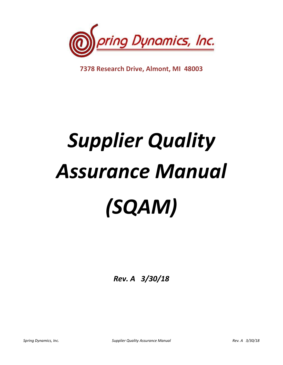

**7378 Research Drive, Almont, MI 48003**

# *Supplier Quality Assurance Manual (SQAM)*

*Rev. A 3/30/18*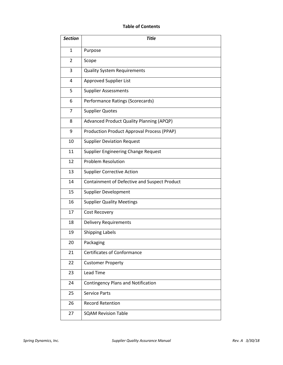# **Table of Contents**

| <b>Section</b> | <b>Title</b>                                    |
|----------------|-------------------------------------------------|
| 1              | Purpose                                         |
| $\overline{2}$ | Scope                                           |
| 3              | <b>Quality System Requirements</b>              |
| 4              | Approved Supplier List                          |
| 5              | <b>Supplier Assessments</b>                     |
| 6              | Performance Ratings (Scorecards)                |
| $\overline{7}$ | <b>Supplier Quotes</b>                          |
| 8              | <b>Advanced Product Quality Planning (APQP)</b> |
| 9              | Production Product Approval Process (PPAP)      |
| 10             | <b>Supplier Deviation Request</b>               |
| 11             | Supplier Engineering Change Request             |
| 12             | <b>Problem Resolution</b>                       |
| 13             | <b>Supplier Corrective Action</b>               |
| 14             | Containment of Defective and Suspect Product    |
| 15             | <b>Supplier Development</b>                     |
| 16             | <b>Supplier Quality Meetings</b>                |
| 17             | <b>Cost Recovery</b>                            |
| 18             | <b>Delivery Requirements</b>                    |
| 19             | <b>Shipping Labels</b>                          |
| 20             | Packaging                                       |
| 21             | <b>Certificates of Conformance</b>              |
| 22             | <b>Customer Property</b>                        |
| 23             | <b>Lead Time</b>                                |
| 24             | <b>Contingency Plans and Notification</b>       |
| 25             | <b>Service Parts</b>                            |
| 26             | <b>Record Retention</b>                         |
| 27             | <b>SQAM Revision Table</b>                      |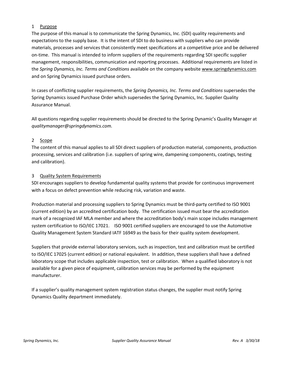#### 1 Purpose

The purpose of this manual is to communicate the Spring Dynamics, Inc. (SDI) quality requirements and expectations to the supply base. It is the intent of SDI to do business with suppliers who can provide materials, processes and services that consistently meet specifications at a competitive price and be delivered on-time. This manual is intended to inform suppliers of the requirements regarding SDI specific supplier management, responsibilities, communication and reporting processes. Additional requirements are listed in the *Spring Dynamics, Inc. Terms and Conditions* available on the company websit[e www.springdynamics.com](http://www.springdynamics.com/) and on Spring Dynamics issued purchase orders.

In cases of conflicting supplier requirements, the *Spring Dynamics, Inc. Terms and Conditions* supersedes the Spring Dynamics issued Purchase Order which supersedes the Spring Dynamics, Inc. Supplier Quality Assurance Manual.

All questions regarding supplier requirements should be directed to the Spring Dynamic's Quality Manager at *qualitymanager@springdynamics.com.*

#### 2 Scope

The content of this manual applies to all SDI direct suppliers of production material, components, production processing, services and calibration (i.e. suppliers of spring wire, dampening components, coatings, testing and calibration).

#### 3 Quality System Requirements

SDI encourages suppliers to develop fundamental quality systems that provide for continuous improvement with a focus on defect prevention while reducing risk, variation and waste.

Production material and processing suppliers to Spring Dynamics must be third-party certified to ISO 9001 (current edition) by an accredited certification body. The certification issued must bear the accreditation mark of a recognized IAF MLA member and where the accreditation body's main scope includes management system certification to ISO/IEC 17021. ISO 9001 certified suppliers are encouraged to use the Automotive Quality Management System Standard IATF 16949 as the basis for their quality system development.

Suppliers that provide external laboratory services, such as inspection, test and calibration must be certified to ISO/IEC 17025 (current edition) or national equivalent. In addition, these suppliers shall have a defined laboratory scope that includes applicable inspection, test or calibration. When a qualified laboratory is not available for a given piece of equipment, calibration services may be performed by the equipment manufacturer.

If a supplier's quality management system registration status changes, the supplier must notify Spring Dynamics Quality department immediately.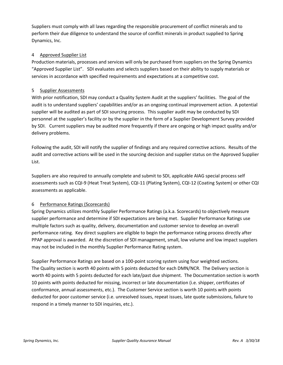Suppliers must comply with all laws regarding the responsible procurement of conflict minerals and to perform their due diligence to understand the source of conflict minerals in product supplied to Spring Dynamics, Inc.

## 4 Approved Supplier List

Production materials, processes and services will only be purchased from suppliers on the Spring Dynamics "Approved Supplier List". SDI evaluates and selects suppliers based on their ability to supply materials or services in accordance with specified requirements and expectations at a competitive cost.

#### 5 Supplier Assessments

With prior notification, SDI may conduct a Quality System Audit at the suppliers' facilities. The goal of the audit is to understand suppliers' capabilities and/or as an ongoing continual improvement action. A potential supplier will be audited as part of SDI sourcing process. This supplier audit may be conducted by SDI personnel at the supplier's facility or by the supplier in the form of a Supplier Development Survey provided by SDI. Current suppliers may be audited more frequently if there are ongoing or high impact quality and/or delivery problems.

Following the audit, SDI will notify the supplier of findings and any required corrective actions. Results of the audit and corrective actions will be used in the sourcing decision and supplier status on the Approved Supplier List.

Suppliers are also required to annually complete and submit to SDI, applicable AIAG special process self assessments such as CQI-9 (Heat Treat System), CQI-11 (Plating System), CQI-12 (Coating System) or other CQI assessments as applicable.

## 6 Performance Ratings (Scorecards)

Spring Dynamics utilizes monthly Supplier Performance Ratings (a.k.a. Scorecards) to objectively measure supplier performance and determine if SDI expectations are being met. Supplier Performance Ratings use multiple factors such as quality, delivery, documentation and customer service to develop an overall performance rating. Key direct suppliers are eligible to begin the performance rating process directly after PPAP approval is awarded. At the discretion of SDI management, small, low volume and low impact suppliers may not be included in the monthly Supplier Performance Rating system.

Supplier Performance Ratings are based on a 100-point scoring system using four weighted sections. The Quality section is worth 40 points with 5 points deducted for each DMN/NCR. The Delivery section is worth 40 points with 5 points deducted for each late/past due shipment. The Documentation section is worth 10 points with points deducted for missing, incorrect or late documentation (i.e. shipper, certificates of conformance, annual assessments, etc.). The Customer Service section is worth 10 points with points deducted for poor customer service (i.e. unresolved issues, repeat issues, late quote submissions, failure to respond in a timely manner to SDI inquiries, etc.).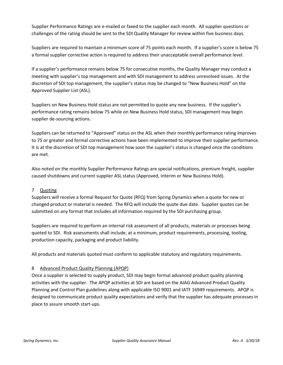Supplier Performance Ratings are e-mailed or faxed to the supplier each month. All supplier questions or challenges of the rating should be sent to the SDI Quality Manager for review within five business days.

Suppliers are required to maintain a minimum score of 75 points each month. If a supplier's score is below 75 a formal supplier corrective action is required to address their unacceptable overall performance level.

If a supplier's performance remains below 75 for consecutive months, the Quality Manager may conduct a meeting with supplier's top management and with SDI management to address unresolved issues. At the discretion of SDI top management, the supplier's status may be changed to "New Business Hold" on the Approved Supplier List (ASL).

Suppliers on New Business Hold status are not permitted to quote any new business. If the supplier's performance rating remains below 75 while on New Business Hold status, SDI management may begin supplier de-sourcing actions.

Suppliers can be returned to "Approved" status on the ASL when their monthly performance rating improves to 75 or greater and formal corrective actions have been implemented to improve their supplier performance. It is at the discretion of SDI top management how soon the supplier's status is changed once the conditions are met.

Also noted on the monthly Supplier Performance Ratings are special notifications, premium freight, supplier caused shutdowns and current supplier ASL status (Approved, Interim or New Business Hold).

# 7 Quoting

Suppliers will receive a formal Request for Quote (RFQ) from Spring Dynamics when a quote for new or changed product or material is needed. The RFQ will include the quote due date. Supplier quotes can be submitted on any format that includes all information required by the SDI purchasing group.

Suppliers are required to perform an internal risk assessment of all products, materials or processes being quoted to SDI. Risk assessments shall include, at a minimum, product requirements, processing, tooling, production capacity, packaging and product liability.

All products and materials quoted must conform to applicable statutory and regulatory requirements.

## 8 Advanced Product Quality Planning (APQP)

Once a supplier is selected to supply product, SDI may begin formal advanced product quality planning activities with the supplier. The APQP activities at SDI are based on the AIAG Advanced Product Quality Planning and Control Plan guidelines along with applicable ISO 9001 and IATF 16949 requirements. APQP is designed to communicate product quality expectations and verify that the supplier has adequate processes in place to assure smooth start-ups.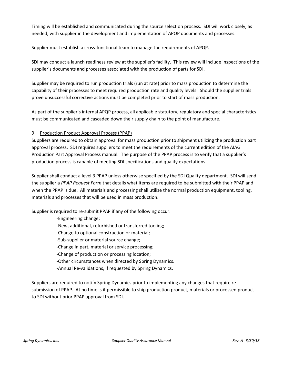Timing will be established and communicated during the source selection process. SDI will work closely, as needed, with supplier in the development and implementation of APQP documents and processes.

Supplier must establish a cross-functional team to manage the requirements of APQP.

SDI may conduct a launch readiness review at the supplier's facility. This review will include inspections of the supplier's documents and processes associated with the production of parts for SDI.

Supplier may be required to run production trials (run at rate) prior to mass production to determine the capability of their processes to meet required production rate and quality levels. Should the supplier trials prove unsuccessful corrective actions must be completed prior to start of mass production.

As part of the supplier's internal APQP process, all applicable statutory, regulatory and special characteristics must be communicated and cascaded down their supply chain to the point of manufacture.

#### 9 Production Product Approval Process (PPAP)

Suppliers are required to obtain approval for mass production prior to shipment utilizing the production part approval process. SDI requires suppliers to meet the requirements of the current edition of the AIAG Production Part Approval Process manual. The purpose of the PPAP process is to verify that a supplier's production process is capable of meeting SDI specifications and quality expectations.

Supplier shall conduct a level 3 PPAP unless otherwise specified by the SDI Quality department. SDI will send the supplier a *PPAP Request Form* that details what items are required to be submitted with their PPAP and when the PPAP is due. All materials and processing shall utilize the normal production equipment, tooling, materials and processes that will be used in mass production.

Supplier is required to re-submit PPAP if any of the following occur:

-Engineering change;

-New, additional, refurbished or transferred tooling;

-Change to optional construction or material;

-Sub-supplier or material source change;

-Change in part, material or service processing;

-Change of production or processing location;

-Other circumstances when directed by Spring Dynamics.

-Annual Re-validations, if requested by Spring Dynamics.

Suppliers are required to notify Spring Dynamics prior to implementing any changes that require resubmission of PPAP. At no time is it permissible to ship production product, materials or processed product to SDI without prior PPAP approval from SDI.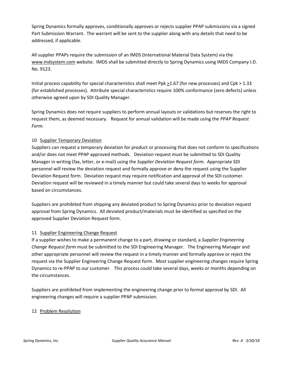Spring Dynamics formally approves, conditionally approves or rejects supplier PPAP submissions via a signed Part Submission Warrant. The warrant will be sent to the supplier along with any details that need to be addressed, if applicable.

All supplier PPAPs require the submission of an IMDS (International Material Data System) via the [www.mdsystem.com](http://www.mdsystem.com/) website. IMDS shall be submitted directly to Spring Dynamics using IMDS Company I.D. No. 9123.

Initial process capability for special characteristics shall meet Ppk >1.67 (for new processes) and Cpk > 1.33 (for established processes). Attribute special characteristics require 100% conformance (zero defects) unless otherwise agreed upon by SDI Quality Manager.

Spring Dynamics does not require suppliers to perform annual layouts or validations but reserves the right to request them, as deemed necessary. Request for annual validation will be made using the *PPAP Request Form.*

## 10 Supplier Temporary Deviation

Suppliers can request a temporary deviation for product or processing that does not conform to specifications and/or does not meet PPAP approved methods. Deviation request must be submitted to SDI Quality Manager in writing (fax, letter, or e-mail) using the *Supplier Deviation Request form*. Appropriate SDI personnel will review the deviation request and formally approve or deny the request using the Supplier Deviation Request form. Deviation request may require notification and approval of the SDI customer. Deviation request will be reviewed in a timely manner but could take several days to weeks for approval based on circumstances.

Suppliers are prohibited from shipping any deviated product to Spring Dynamics prior to deviation request approval from Spring Dynamics. All deviated product/materials must be identified as specified on the approved Supplier Deviation Request form.

## 11 Supplier Engineering Change Request

If a supplier wishes to make a permanent change to a part, drawing or standard, a *Supplier Engineering Change Request form* must be submitted to the SDI Engineering Manager. The Engineering Manager and other appropriate personnel will review the request in a timely manner and formally approve or reject the request via the Supplier Engineering Change Request form. Most supplier engineering changes require Spring Dynamics to re-PPAP to our customer. This process could take several days, weeks or months depending on the circumstances.

Suppliers are prohibited from implementing the engineering change prior to formal approval by SDI. All engineering changes will require a supplier PPAP submission.

## 12 Problem Resolution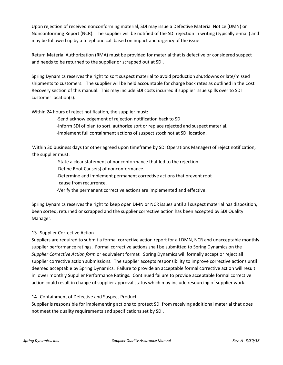Upon rejection of received nonconforming material, SDI may issue a Defective Material Notice (DMN) or Nonconforming Report (NCR). The supplier will be notified of the SDI rejection in writing (typically e-mail) and may be followed up by a telephone call based on impact and urgency of the issue.

Return Material Authorization (RMA) must be provided for material that is defective or considered suspect and needs to be returned to the supplier or scrapped out at SDI.

Spring Dynamics reserves the right to sort suspect material to avoid production shutdowns or late/missed shipments to customers. The supplier will be held accountable for charge back rates as outlined in the Cost Recovery section of this manual. This may include SDI costs incurred if supplier issue spills over to SDI customer location(s).

Within 24 hours of reject notification, the supplier must:

-Send acknowledgement of rejection notification back to SDI

-Inform SDI of plan to sort, authorize sort or replace rejected and suspect material.

-Implement full containment actions of suspect stock not at SDI location.

Within 30 business days (or other agreed upon timeframe by SDI Operations Manager) of reject notification, the supplier must:

-State a clear statement of nonconformance that led to the rejection.

- -Define Root Cause(s) of nonconformance.
- -Determine and implement permanent corrective actions that prevent root cause from recurrence.
- -Verify the permanent corrective actions are implemented and effective.

Spring Dynamics reserves the right to keep open DMN or NCR issues until all suspect material has disposition, been sorted, returned or scrapped and the supplier corrective action has been accepted by SDI Quality Manager.

## 13 Supplier Corrective Action

Suppliers are required to submit a formal corrective action report for all DMN, NCR and unacceptable monthly supplier performance ratings. Formal corrective actions shall be submitted to Spring Dynamics on the *Supplier Corrective Action form* or equivalent format*.* Spring Dynamics will formally accept or reject all supplier corrective action submissions. The supplier accepts responsibility to improve corrective actions until deemed acceptable by Spring Dynamics. Failure to provide an acceptable formal corrective action will result in lower monthly Supplier Performance Ratings. Continued failure to provide acceptable formal corrective action could result in change of supplier approval status which may include resourcing of supplier work.

## 14 Containment of Defective and Suspect Product

Supplier is responsible for implementing actions to protect SDI from receiving additional material that does not meet the quality requirements and specifications set by SDI.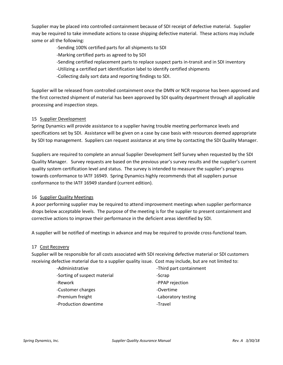Supplier may be placed into controlled containment because of SDI receipt of defective material. Supplier may be required to take immediate actions to cease shipping defective material. These actions may include some or all the following:

-Sending 100% certified parts for all shipments to SDI

-Marking certified parts as agreed to by SDI

- -Sending certified replacement parts to replace suspect parts in-transit and in SDI inventory
- -Utilizing a certified part identification label to identify certified shipments
- -Collecting daily sort data and reporting findings to SDI.

Supplier will be released from controlled containment once the DMN or NCR response has been approved and the first corrected shipment of material has been approved by SDI quality department through all applicable processing and inspection steps.

## 15 Supplier Development

Spring Dynamics will provide assistance to a supplier having trouble meeting performance levels and specifications set by SDI. Assistance will be given on a case by case basis with resources deemed appropriate by SDI top management. Suppliers can request assistance at any time by contacting the SDI Quality Manager.

Suppliers are required to complete an annual Supplier Development Self Survey when requested by the SDI Quality Manager. Survey requests are based on the previous year's survey results and the supplier's current quality system certification level and status. The survey is intended to measure the supplier's progress towards conformance to IATF 16949. Spring Dynamics highly recommends that all suppliers pursue conformance to the IATF 16949 standard (current edition).

#### 16 Supplier Quality Meetings

A poor performing supplier may be required to attend improvement meetings when supplier performance drops below acceptable levels. The purpose of the meeting is for the supplier to present containment and corrective actions to improve their performance in the deficient areas identified by SDI.

A supplier will be notified of meetings in advance and may be required to provide cross-functional team.

#### 17 Cost Recovery

Supplier will be responsible for all costs associated with SDI receiving defective material or SDI customers receiving defective material due to a supplier quality issue. Cost may include, but are not limited to:

-Sorting of suspect material example 3 -Scrap

- -Customer charges extended that the overtime
- 
- -Production downtime **-Travel**

-Administrative **-Administrative** -Third part containment

- 
- -Rework **-**PPAP rejection
	-
- -Premium freight **-**Laboratory testing
	-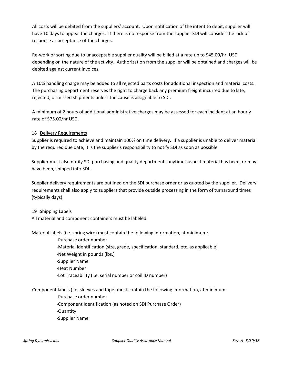All costs will be debited from the suppliers' account. Upon notification of the intent to debit, supplier will have 10 days to appeal the charges. If there is no response from the supplier SDI will consider the lack of response as acceptance of the charges.

Re-work or sorting due to unacceptable supplier quality will be billed at a rate up to \$45.00/hr. USD depending on the nature of the activity. Authorization from the supplier will be obtained and charges will be debited against current invoices.

A 10% handling charge may be added to all rejected parts costs for additional inspection and material costs. The purchasing department reserves the right to charge back any premium freight incurred due to late, rejected, or missed shipments unless the cause is assignable to SDI.

A minimum of 2 hours of additional administrative charges may be assessed for each incident at an hourly rate of \$75.00/hr USD.

## 18 Delivery Requirements

Supplier is required to achieve and maintain 100% on time delivery. If a supplier is unable to deliver material by the required due date, it is the supplier's responsibility to notify SDI as soon as possible.

Supplier must also notify SDI purchasing and quality departments anytime suspect material has been, or may have been, shipped into SDI.

Supplier delivery requirements are outlined on the SDI purchase order or as quoted by the supplier. Delivery requirements shall also apply to suppliers that provide outside processing in the form of turnaround times (typically days).

#### 19 Shipping Labels

All material and component containers must be labeled.

Material labels (i.e. spring wire) must contain the following information, at minimum:

-Purchase order number

- -Material Identification (size, grade, specification, standard, etc. as applicable)
- -Net Weight in pounds (lbs.)
- -Supplier Name
- -Heat Number
- -Lot Traceability (i.e. serial number or coil ID number)

Component labels (i.e. sleeves and tape) must contain the following information, at minimum:

-Purchase order number

-Component Identification (as noted on SDI Purchase Order)

-Quantity

-Supplier Name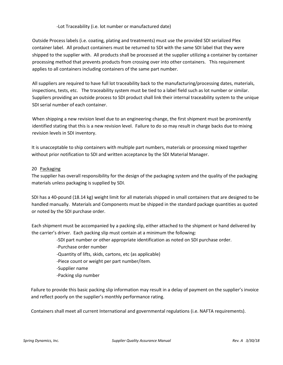#### -Lot Traceability (i.e. lot number or manufactured date)

Outside Process labels (i.e. coating, plating and treatments) must use the provided SDI serialized Plex container label. All product containers must be returned to SDI with the same SDI label that they were shipped to the supplier with. All products shall be processed at the supplier utilizing a container by container processing method that prevents products from crossing over into other containers. This requirement applies to all containers including containers of the same part number.

All suppliers are required to have full lot traceability back to the manufacturing/processing dates, materials, inspections, tests, etc. The traceability system must be tied to a label field such as lot number or similar. Suppliers providing an outside process to SDI product shall link their internal traceability system to the unique SDI serial number of each container.

When shipping a new revision level due to an engineering change, the first shipment must be prominently identified stating that this is a new revision level. Failure to do so may result in charge backs due to mixing revision levels in SDI inventory.

It is unacceptable to ship containers with multiple part numbers, materials or processing mixed together without prior notification to SDI and written acceptance by the SDI Material Manager.

#### 20 Packaging

The supplier has overall responsibility for the design of the packaging system and the quality of the packaging materials unless packaging is supplied by SDI.

SDI has a 40-pound (18.14 kg) weight limit for all materials shipped in small containers that are designed to be handled manually. Materials and Components must be shipped in the standard package quantities as quoted or noted by the SDI purchase order.

Each shipment must be accompanied by a packing slip, either attached to the shipment or hand delivered by the carrier's driver. Each packing slip must contain at a minimum the following:

-SDI part number or other appropriate identification as noted on SDI purchase order.

- -Purchase order number
- -Quantity of lifts, skids, cartons, etc (as applicable)
- -Piece count or weight per part number/item.
- -Supplier name
- -Packing slip number

Failure to provide this basic packing slip information may result in a delay of payment on the supplier's invoice and reflect poorly on the supplier's monthly performance rating.

Containers shall meet all current International and governmental regulations (i.e. NAFTA requirements).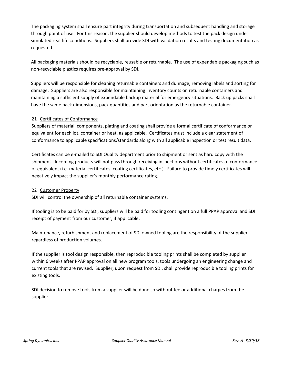The packaging system shall ensure part integrity during transportation and subsequent handling and storage through point of use. For this reason, the supplier should develop methods to test the pack design under simulated real-life conditions. Suppliers shall provide SDI with validation results and testing documentation as requested.

All packaging materials should be recyclable, reusable or returnable. The use of expendable packaging such as non-recyclable plastics requires pre-approval by SDI.

Suppliers will be responsible for cleaning returnable containers and dunnage, removing labels and sorting for damage. Suppliers are also responsible for maintaining inventory counts on returnable containers and maintaining a sufficient supply of expendable backup material for emergency situations. Back up packs shall have the same pack dimensions, pack quantities and part orientation as the returnable container.

#### 21 Certificates of Conformance

Suppliers of material, components, plating and coating shall provide a formal certificate of conformance or equivalent for each lot, container or heat, as applicable. Certificates must include a clear statement of conformance to applicable specifications/standards along with all applicable inspection or test result data.

Certificates can be e-mailed to SDI Quality department prior to shipment or sent as hard copy with the shipment. Incoming products will not pass through receiving inspections without certificates of conformance or equivalent (i.e. material certificates, coating certificates, etc.). Failure to provide timely certificates will negatively impact the supplier's monthly performance rating.

#### 22 Customer Property

SDI will control the ownership of all returnable container systems.

If tooling is to be paid for by SDI, suppliers will be paid for tooling contingent on a full PPAP approval and SDI receipt of payment from our customer, if applicable.

Maintenance, refurbishment and replacement of SDI owned tooling are the responsibility of the supplier regardless of production volumes.

If the supplier is tool design responsible, then reproducible tooling prints shall be completed by supplier within 6 weeks after PPAP approval on all new program tools, tools undergoing an engineering change and current tools that are revised. Supplier, upon request from SDI, shall provide reproducible tooling prints for existing tools.

SDI decision to remove tools from a supplier will be done so without fee or additional charges from the supplier.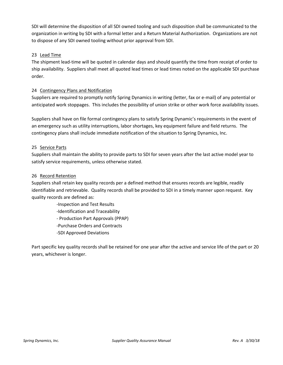SDI will determine the disposition of all SDI owned tooling and such disposition shall be communicated to the organization in writing by SDI with a formal letter and a Return Material Authorization. Organizations are not to dispose of any SDI owned tooling without prior approval from SDI.

#### 23 Lead Time

The shipment lead-time will be quoted in calendar days and should quantify the time from receipt of order to ship availability. Suppliers shall meet all quoted lead times or lead times noted on the applicable SDI purchase order.

#### 24 Contingency Plans and Notification

Suppliers are required to promptly notify Spring Dynamics in writing (letter, fax or e-mail) of any potential or anticipated work stoppages. This includes the possibility of union strike or other work force availability issues.

Suppliers shall have on file formal contingency plans to satisfy Spring Dynamic's requirements in the event of an emergency such as utility interruptions, labor shortages, key equipment failure and field returns. The contingency plans shall include immediate notification of the situation to Spring Dynamics, Inc.

#### 25 Service Parts

Suppliers shall maintain the ability to provide parts to SDI for seven years after the last active model year to satisfy service requirements, unless otherwise stated.

#### 26 Record Retention

Suppliers shall retain key quality records per a defined method that ensures records are legible, readily identifiable and retrievable. Quality records shall be provided to SDI in a timely manner upon request. Key quality records are defined as:

- -Inspection and Test Results
- -Identification and Traceability
- Production Part Approvals (PPAP)
- -Purchase Orders and Contracts
- -SDI Approved Deviations

Part specific key quality records shall be retained for one year after the active and service life of the part or 20 years, whichever is longer.